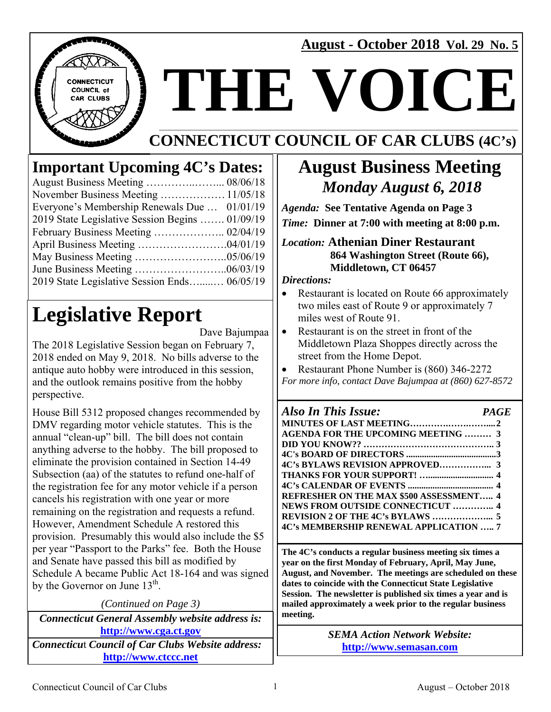**August - October 2018 Vol. 29 No. 5** 



# **THE VOICE\_\_\_\_\_\_**

#### **\_\_\_\_\_\_\_\_\_\_\_\_\_\_\_\_\_\_\_\_\_\_\_\_\_\_\_\_\_\_\_\_\_\_\_\_\_\_\_\_\_\_\_\_\_\_\_\_\_\_\_\_\_\_\_\_\_\_\_\_\_\_\_\_\_\_\_\_\_\_\_\_\_\_\_\_\_\_\_\_\_\_\_\_\_\_\_\_\_\_\_\_\_\_\_\_\_\_\_\_\_\_\_\_\_\_\_\_\_\_\_\_\_\_\_\_\_\_\_\_\_\_\_\_\_\_\_ CONNECTICUT COUNCIL OF CAR CLUBS (4C's)**

### **Important Upcoming 4C's Dates:**

| Everyone's Membership Renewals Due  01/01/19    |  |
|-------------------------------------------------|--|
| 2019 State Legislative Session Begins  01/09/19 |  |
|                                                 |  |
|                                                 |  |
|                                                 |  |
|                                                 |  |
| 2019 State Legislative Session Ends 06/05/19    |  |

## **Legislative Report**

Dave Bajumpaa

The 2018 Legislative Session began on February 7, 2018 ended on May 9, 2018. No bills adverse to the antique auto hobby were introduced in this session, and the outlook remains positive from the hobby perspective.

House Bill 5312 proposed changes recommended by DMV regarding motor vehicle statutes. This is the annual "clean-up" bill. The bill does not contain anything adverse to the hobby. The bill proposed to eliminate the provision contained in Section 14-49 Subsection (aa) of the statutes to refund one-half of the registration fee for any motor vehicle if a person cancels his registration with one year or more remaining on the registration and requests a refund. However, Amendment Schedule A restored this provision. Presumably this would also include the \$5 per year "Passport to the Parks" fee. Both the House and Senate have passed this bill as modified by Schedule A became Public Act 18-164 and was signed by the Governor on June  $13<sup>th</sup>$ .

| (Continued on Page 3)                                    |  |  |
|----------------------------------------------------------|--|--|
| <b>Connecticut General Assembly website address is:</b>  |  |  |
| http://www.cga.ct.gov                                    |  |  |
| <b>Connecticut Council of Car Clubs Website address:</b> |  |  |
| http://www.ctccc.net                                     |  |  |

### **August Business Meeting**   *Monday August 6, 2018*

*Agenda:* **See Tentative Agenda on Page 3**  *Time:* **Dinner at 7:00 with meeting at 8:00 p.m.** 

#### *Location:* **Athenian Diner Restaurant 864 Washington Street (Route 66), Middletown, CT 06457**

*Directions:* 

- Restaurant is located on Route 66 approximately two miles east of Route 9 or approximately 7 miles west of Route 91.
- Restaurant is on the street in front of the Middletown Plaza Shoppes directly across the street from the Home Depot.

• Restaurant Phone Number is (860) 346-2272 *For more info, contact Dave Bajumpaa at (860) 627-8572* 

### *Also In This Issue: PAGE*

**MINUTES OF LAST MEETING………….…….…….... 2 AGENDA FOR THE UPCOMING MEETING ……… 3 DID YOU KNOW?? …………………………………….. 3 4C's BOARD OF DIRECTORS ........................................ 3 4C's BYLAWS REVISION APPROVED……………... 3 THANKS FOR YOUR SUPPORT! …............................. 4 4C's CALENDAR OF EVENTS ...................................... 4 REFRESHER ON THE MAX \$500 ASSESSMENT….. 4 NEWS FROM OUTSIDE CONNECTICUT ………….. 4 REVISION 2 OF THE 4C's BYLAWS ………………... 5 4C's MEMBERSHIP RENEWAL APPLICATION ….. 7** 

**The 4C's conducts a regular business meeting six times a year on the first Monday of February, April, May June, August, and November. The meetings are scheduled on these dates to coincide with the Connecticut State Legislative Session. The newsletter is published six times a year and is mailed approximately a week prior to the regular business meeting.** 

> *SEMA Action Network Website:* **http://www.semasan.com**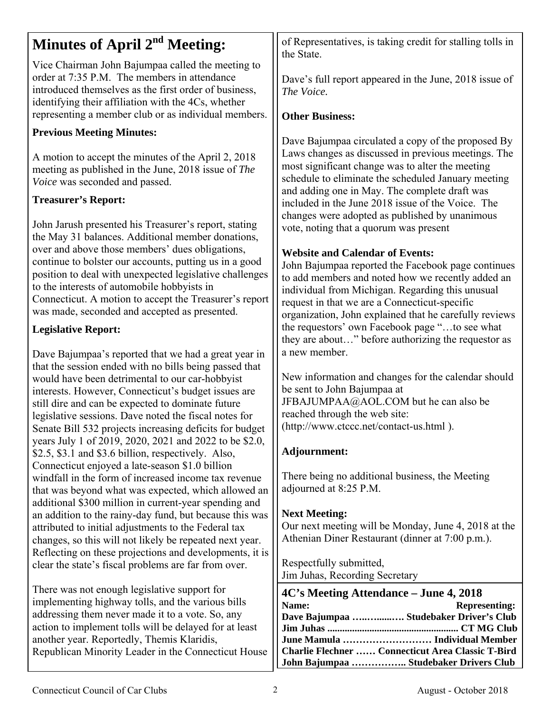### **Minutes of April 2<sup>nd</sup> Meeting:**

Vice Chairman John Bajumpaa called the meeting to order at 7:35 P.M. The members in attendance introduced themselves as the first order of business, identifying their affiliation with the 4Cs, whether representing a member club or as individual members.

### **Previous Meeting Minutes:**

A motion to accept the minutes of the April 2, 2018 meeting as published in the June, 2018 issue of *The Voice* was seconded and passed.

### **Treasurer's Report:**

John Jarush presented his Treasurer's report, stating the May 31 balances. Additional member donations, over and above those members' dues obligations, continue to bolster our accounts, putting us in a good position to deal with unexpected legislative challenges to the interests of automobile hobbyists in Connecticut. A motion to accept the Treasurer's report was made, seconded and accepted as presented.

### **Legislative Report:**

Dave Bajumpaa's reported that we had a great year in that the session ended with no bills being passed that would have been detrimental to our car-hobbyist interests. However, Connecticut's budget issues are still dire and can be expected to dominate future legislative sessions. Dave noted the fiscal notes for Senate Bill 532 projects increasing deficits for budget years July 1 of 2019, 2020, 2021 and 2022 to be \$2.0, \$2.5, \$3.1 and \$3.6 billion, respectively. Also, Connecticut enjoyed a late-season \$1.0 billion windfall in the form of increased income tax revenue that was beyond what was expected, which allowed an additional \$300 million in current-year spending and an addition to the rainy-day fund, but because this was attributed to initial adjustments to the Federal tax changes, so this will not likely be repeated next year. Reflecting on these projections and developments, it is clear the state's fiscal problems are far from over.

There was not enough legislative support for implementing highway tolls, and the various bills addressing them never made it to a vote. So, any action to implement tolls will be delayed for at least another year. Reportedly, Themis Klaridis, Republican Minority Leader in the Connecticut House of Representatives, is taking credit for stalling tolls in the State.

Dave's full report appeared in the June, 2018 issue of *The Voice.* 

### **Other Business:**

Dave Bajumpaa circulated a copy of the proposed By Laws changes as discussed in previous meetings. The most significant change was to alter the meeting schedule to eliminate the scheduled January meeting and adding one in May. The complete draft was included in the June 2018 issue of the Voice. The changes were adopted as published by unanimous vote, noting that a quorum was present

### **Website and Calendar of Events:**

John Bajumpaa reported the Facebook page continues to add members and noted how we recently added an individual from Michigan. Regarding this unusual request in that we are a Connecticut-specific organization, John explained that he carefully reviews the requestors' own Facebook page "…to see what they are about…" before authorizing the requestor as a new member.

New information and changes for the calendar should be sent to John Bajumpaa at JFBAJUMPAA@AOL.COM but he can also be reached through the web site: (http://www.ctccc.net/contact-us.html ).

### **Adjournment:**

There being no additional business, the Meeting adjourned at 8:25 P.M.

### **Next Meeting:**

Our next meeting will be Monday, June 4, 2018 at the Athenian Diner Restaurant (dinner at 7:00 p.m.).

Respectfully submitted, Jim Juhas, Recording Secretary

| 4C's Meeting Attendance – June 4, 2018                   |                      |  |
|----------------------------------------------------------|----------------------|--|
| Name:                                                    | <b>Representing:</b> |  |
| Dave Bajumpaa  Studebaker Driver's Club                  |                      |  |
|                                                          |                      |  |
|                                                          |                      |  |
| <b>Charlie Flechner  Connecticut Area Classic T-Bird</b> |                      |  |
| John Bajumpaa  Studebaker Drivers Club                   |                      |  |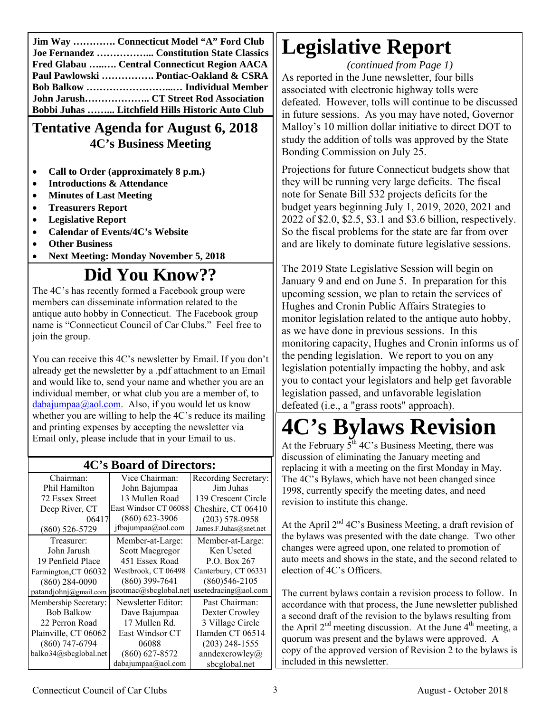**Jim Way …………. Connecticut Model "A" Ford Club Joe Fernandez ……………... Constitution State Classics Fred Glabau …..…. Central Connecticut Region AACA Paul Pawlowski ……………. Pontiac-Oakland & CSRA Bob Balkow ……………………...… Individual Member John Jarush……………….. CT Street Rod Association Bobbi Juhas ……... Litchfield Hills Historic Auto Club** 

### **Tentative Agenda for August 6, 2018 4C's Business Meeting**

- **Call to Order (approximately 8 p.m.)**
- **Introductions & Attendance**
- **Minutes of Last Meeting**
- **Treasurers Report**
- **Legislative Report**
- **Calendar of Events/4C's Website**
- **Other Business**
- **Next Meeting: Monday November 5, 2018**

### **Did You Know??**

The 4C's has recently formed a Facebook group were members can disseminate information related to the antique auto hobby in Connecticut. The Facebook group name is "Connecticut Council of Car Clubs." Feel free to join the group.

You can receive this 4C's newsletter by Email. If you don't already get the newsletter by a .pdf attachment to an Email and would like to, send your name and whether you are an individual member, or what club you are a member of, to  $dabajumpaa@aol.com. Also, if you would let us know$ whether you are willing to help the 4C's reduce its mailing and printing expenses by accepting the newsletter via Email only, please include that in your Email to us.

| <b>4C's Board of Directors:</b> |                        |                        |  |  |
|---------------------------------|------------------------|------------------------|--|--|
| Chairman:                       | Vice Chairman:         | Recording Secretary:   |  |  |
| Phil Hamilton                   | John Bajumpaa          | Jim Juhas              |  |  |
| 72 Essex Street                 | 13 Mullen Road         | 139 Crescent Circle    |  |  |
| Deep River, CT                  | East Windsor CT 06088  | Cheshire, CT 06410     |  |  |
| 06417                           | $(860)$ 623-3906       | $(203) 578 - 0958$     |  |  |
| $(860) 526 - 5729$              | jfbajumpaa@aol.com     | James.F.Juhas@snet.net |  |  |
| Treasurer:                      | Member-at-Large:       | Member-at-Large:       |  |  |
| John Jarush                     | Scott Macgregor        | Ken Useted             |  |  |
| 19 Penfield Place               | 451 Essex Road         | P.O. Box 267           |  |  |
| Farmington, CT 06032            | Westbrook, CT 06498    | Canterbury, CT 06331   |  |  |
| $(860)$ 284-0090                | $(860)$ 399-7641       | $(860)546 - 2105$      |  |  |
| patandiohnj@gmail.com           | jscotmac@sbcglobal.net | usetedracing@aol.com   |  |  |
| Membership Secretary:           | Newsletter Editor:     | Past Chairman:         |  |  |
| <b>Bob Balkow</b>               | Dave Bajumpaa          | Dexter Crowley         |  |  |
| 22 Perron Road                  | 17 Mullen Rd.          | 3 Village Circle       |  |  |
| Plainville, CT 06062            | East Windsor CT        | Hamden CT 06514        |  |  |
| $(860)$ 747-6794                | 06088                  | $(203)$ 248-1555       |  |  |
| balko34@sbcglobal.net           | $(860) 627 - 8572$     | anndexcrowley $@$      |  |  |
|                                 | dabajumpaa@aol.com     | sbcglobal.net          |  |  |

### **4C's Board of Directors:**

### **Legislative Report**

*(continued from Page 1)*  As reported in the June newsletter, four bills associated with electronic highway tolls were defeated. However, tolls will continue to be discussed in future sessions. As you may have noted, Governor Malloy's 10 million dollar initiative to direct DOT to study the addition of tolls was approved by the State Bonding Commission on July 25.

Projections for future Connecticut budgets show that they will be running very large deficits. The fiscal note for Senate Bill 532 projects deficits for the budget years beginning July 1, 2019, 2020, 2021 and 2022 of \$2.0, \$2.5, \$3.1 and \$3.6 billion, respectively. So the fiscal problems for the state are far from over and are likely to dominate future legislative sessions.

The 2019 State Legislative Session will begin on January 9 and end on June 5. In preparation for this upcoming session, we plan to retain the services of Hughes and Cronin Public Affairs Strategies to monitor legislation related to the antique auto hobby, as we have done in previous sessions. In this monitoring capacity, Hughes and Cronin informs us of the pending legislation. We report to you on any legislation potentially impacting the hobby, and ask you to contact your legislators and help get favorable legislation passed, and unfavorable legislation defeated (i.e., a "grass roots" approach).

# **4C's Bylaws Revision**

At the February  $5<sup>th</sup>$  4C's Business Meeting, there was discussion of eliminating the January meeting and replacing it with a meeting on the first Monday in May. The 4C's Bylaws, which have not been changed since 1998, currently specify the meeting dates, and need revision to institute this change.

At the April  $2<sup>nd</sup>$  4C's Business Meeting, a draft revision of the bylaws was presented with the date change. Two other changes were agreed upon, one related to promotion of auto meets and shows in the state, and the second related to election of 4C's Officers.

The current bylaws contain a revision process to follow. In accordance with that process, the June newsletter published a second draft of the revision to the bylaws resulting from the April  $2<sup>nd</sup>$  meeting discussion. At the June  $4<sup>th</sup>$  meeting, a quorum was present and the bylaws were approved. A copy of the approved version of Revision 2 to the bylaws is included in this newsletter.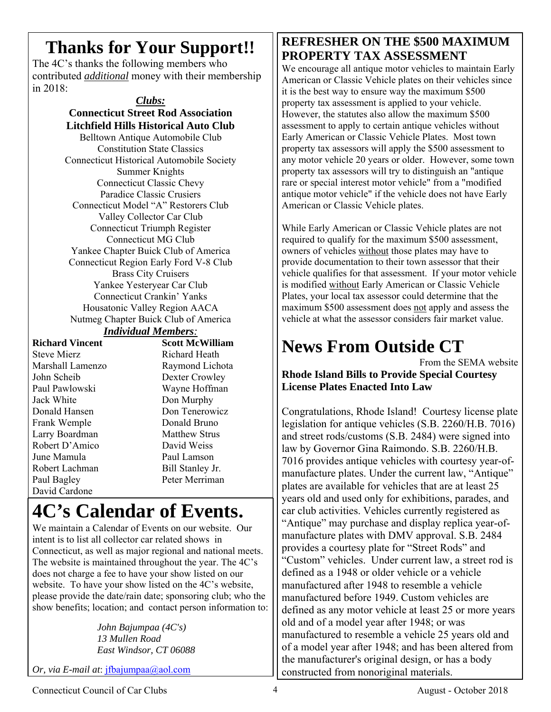### **Thanks for Your Support!!**

The 4C's thanks the following members who contributed *additional* money with their membership in 2018:

> *Clubs:*  **Connecticut Street Rod Association Litchfield Hills Historical Auto Club**  Belltown Antique Automobile Club Constitution State Classics Connecticut Historical Automobile Society Summer Knights Connecticut Classic Chevy Paradice Classic Crusiers Connecticut Model "A" Restorers Club Valley Collector Car Club Connecticut Triumph Register Connecticut MG Club Yankee Chapter Buick Club of America Connecticut Region Early Ford V-8 Club Brass City Cruisers Yankee Yesteryear Car Club Connecticut Crankin' Yanks Housatonic Valley Region AACA Nutmeg Chapter Buick Club of America

#### *Individual Members:*

| Richard Vincent    |
|--------------------|
| <b>Steve Mierz</b> |
| Marshall Lamenzo   |
| John Scheib        |
| Paul Pawlowski     |
| Jack White         |
| Donald Hansen      |
| Frank Wemple       |
| Larry Boardman     |
| Robert D'Amico     |
| June Mamula        |
| Robert Lachman     |
| Paul Bagley        |
| David Cardone      |

**Scott McWilliam** Richard Heath Raymond Lichota Dexter Crowley Wayne Hoffman Don Murphy Don Tenerowicz Donald Bruno Matthew Strus David Weiss Paul Lamson Bill Stanley Jr. Peter Merriman

### **4C's Calendar of Events.**

We maintain a Calendar of Events on our website. Our intent is to list all collector car related shows in Connecticut, as well as major regional and national meets. The website is maintained throughout the year. The 4C's does not charge a fee to have your show listed on our website. To have your show listed on the 4C's website, please provide the date/rain date; sponsoring club; who the show benefits; location; and contact person information to:

> *John Bajumpaa (4C's) 13 Mullen Road East Windsor, CT 06088*

*Or, via E-mail at*: jfbajumpaa@aol.com

### **REFRESHER ON THE \$500 MAXIMUM PROPERTY TAX ASSESSMENT**

We encourage all antique motor vehicles to maintain Early American or Classic Vehicle plates on their vehicles since it is the best way to ensure way the maximum \$500 property tax assessment is applied to your vehicle. However, the statutes also allow the maximum \$500 assessment to apply to certain antique vehicles without Early American or Classic Vehicle Plates. Most town property tax assessors will apply the \$500 assessment to any motor vehicle 20 years or older. However, some town property tax assessors will try to distinguish an "antique rare or special interest motor vehicle" from a "modified antique motor vehicle" if the vehicle does not have Early American or Classic Vehicle plates.

While Early American or Classic Vehicle plates are not required to qualify for the maximum \$500 assessment, owners of vehicles without those plates may have to provide documentation to their town assessor that their vehicle qualifies for that assessment. If your motor vehicle is modified without Early American or Classic Vehicle Plates, your local tax assessor could determine that the maximum \$500 assessment does not apply and assess the vehicle at what the assessor considers fair market value.

### **News From Outside CT**

From the SEMA website **Rhode Island Bills to Provide Special Courtesy License Plates Enacted Into Law** 

Congratulations, Rhode Island! Courtesy license plate legislation for antique vehicles (S.B. 2260/H.B. 7016) and street rods/customs (S.B. 2484) were signed into law by Governor Gina Raimondo. S.B. 2260/H.B. 7016 provides antique vehicles with courtesy year-ofmanufacture plates. Under the current law, "Antique" plates are available for vehicles that are at least 25 years old and used only for exhibitions, parades, and car club activities. Vehicles currently registered as "Antique" may purchase and display replica year-ofmanufacture plates with DMV approval. S.B. 2484 provides a courtesy plate for "Street Rods" and "Custom" vehicles. Under current law, a street rod is defined as a 1948 or older vehicle or a vehicle manufactured after 1948 to resemble a vehicle manufactured before 1949. Custom vehicles are defined as any motor vehicle at least 25 or more years old and of a model year after 1948; or was manufactured to resemble a vehicle 25 years old and of a model year after 1948; and has been altered from the manufacturer's original design, or has a body constructed from nonoriginal materials.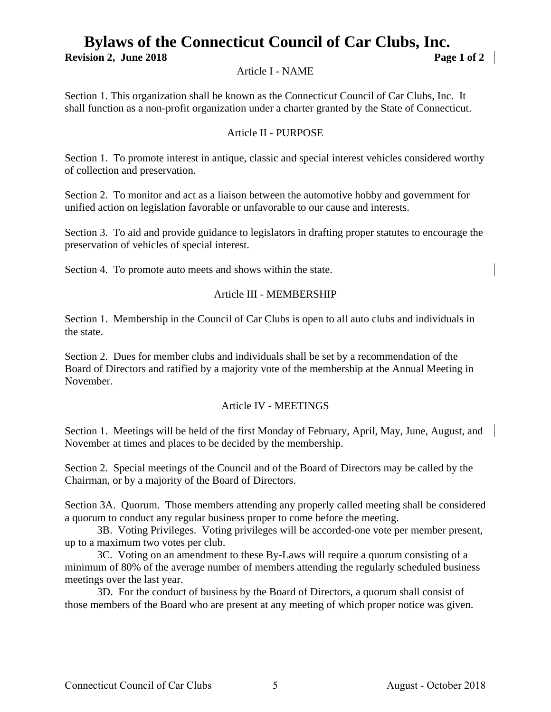### **Bylaws of the Connecticut Council of Car Clubs, Inc. Revision 2, June 2018 Page 1 of 2**

Article I - NAME

Section 1. This organization shall be known as the Connecticut Council of Car Clubs, Inc. It shall function as a non-profit organization under a charter granted by the State of Connecticut.

#### Article II - PURPOSE

Section 1. To promote interest in antique, classic and special interest vehicles considered worthy of collection and preservation.

Section 2. To monitor and act as a liaison between the automotive hobby and government for unified action on legislation favorable or unfavorable to our cause and interests.

Section 3. To aid and provide guidance to legislators in drafting proper statutes to encourage the preservation of vehicles of special interest.

Section 4. To promote auto meets and shows within the state.

#### Article III - MEMBERSHIP

Section 1. Membership in the Council of Car Clubs is open to all auto clubs and individuals in the state.

Section 2. Dues for member clubs and individuals shall be set by a recommendation of the Board of Directors and ratified by a majority vote of the membership at the Annual Meeting in November.

#### Article IV - MEETINGS

Section 1. Meetings will be held of the first Monday of February, April, May, June, August, and November at times and places to be decided by the membership.

Section 2. Special meetings of the Council and of the Board of Directors may be called by the Chairman, or by a majority of the Board of Directors.

Section 3A. Quorum. Those members attending any properly called meeting shall be considered a quorum to conduct any regular business proper to come before the meeting.

 3B. Voting Privileges. Voting privileges will be accorded-one vote per member present, up to a maximum two votes per club.

 3C. Voting on an amendment to these By-Laws will require a quorum consisting of a minimum of 80% of the average number of members attending the regularly scheduled business meetings over the last year.

 3D. For the conduct of business by the Board of Directors, a quorum shall consist of those members of the Board who are present at any meeting of which proper notice was given.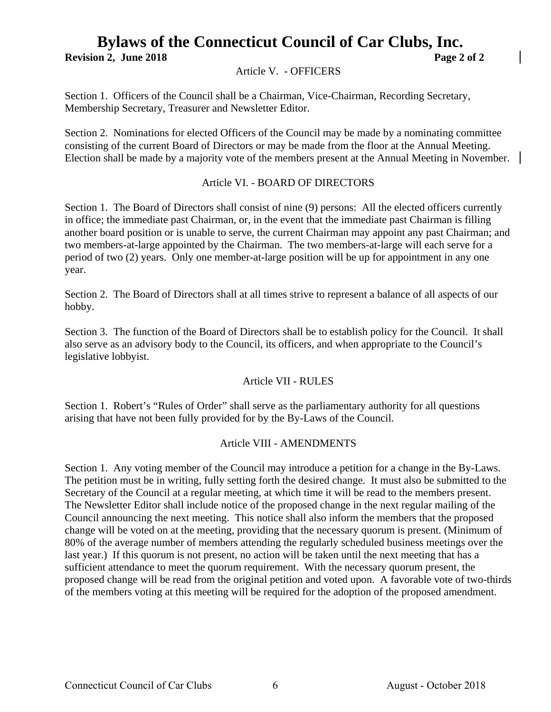### **Bylaws of the Connecticut Council of Car Clubs, Inc. Revision 2, June 2018 Page 2 of 2**

Article V. - OFFICERS

Section 1. Officers of the Council shall be a Chairman, Vice-Chairman, Recording Secretary, Membership Secretary, Treasurer and Newsletter Editor.

Section 2. Nominations for elected Officers of the Council may be made by a nominating committee consisting of the current Board of Directors or may be made from the floor at the Annual Meeting. Election shall be made by a majority vote of the members present at the Annual Meeting in November.

#### Article VI. - BOARD OF DIRECTORS

Section 1. The Board of Directors shall consist of nine (9) persons: All the elected officers currently in office; the immediate past Chairman, or, in the event that the immediate past Chairman is filling another board position or is unable to serve, the current Chairman may appoint any past Chairman; and two members-at-large appointed by the Chairman. The two members-at-large will each serve for a period of two (2) years. Only one member-at-large position will be up for appointment in any one year.

Section 2. The Board of Directors shall at all times strive to represent a balance of all aspects of our hobby.

Section 3. The function of the Board of Directors shall be to establish policy for the Council. It shall also serve as an advisory body to the Council, its officers, and when appropriate to the Council's legislative lobbyist.

#### Article VII - RULES

Section 1. Robert's "Rules of Order" shall serve as the parliamentary authority for all questions arising that have not been fully provided for by the By-Laws of the Council.

#### Article VIII - AMENDMENTS

Section 1. Any voting member of the Council may introduce a petition for a change in the By-Laws. The petition must be in writing, fully setting forth the desired change. It must also be submitted to the Secretary of the Council at a regular meeting, at which time it will be read to the members present. The Newsletter Editor shall include notice of the proposed change in the next regular mailing of the Council announcing the next meeting. This notice shall also inform the members that the proposed change will be voted on at the meeting, providing that the necessary quorum is present. (Minimum of 80% of the average number of members attending the regularly scheduled business meetings over the last year.) If this quorum is not present, no action will be taken until the next meeting that has a sufficient attendance to meet the quorum requirement. With the necessary quorum present, the proposed change will be read from the original petition and voted upon. A favorable vote of two-thirds of the members voting at this meeting will be required for the adoption of the proposed amendment.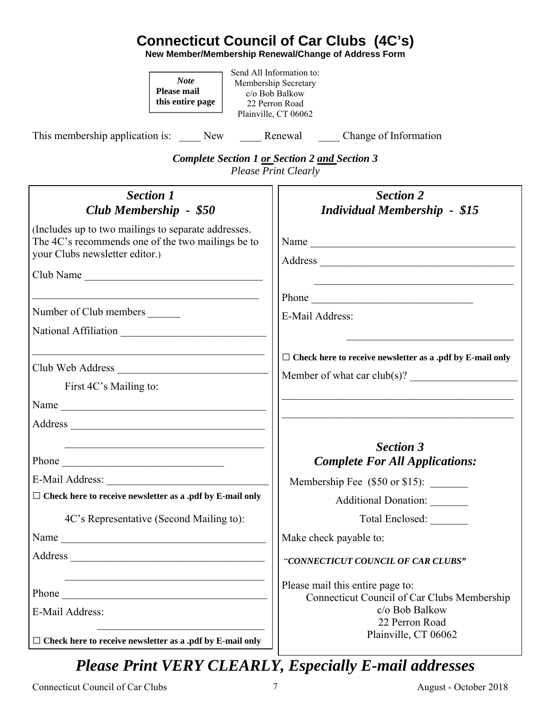### **Connecticut Council of Car Clubs (4C's)**

**New Member/Membership Renewal/Change of Address Form** 

| <b>Note</b><br><b>Please mail</b><br>this entire page<br>This membership application is: ______ New _______ Renewal ______ Change of Information                        | Send All Information to:<br>Membership Secretary<br>c/o Bob Balkow<br>22 Perron Road<br>Plainville, CT 06062                                |
|-------------------------------------------------------------------------------------------------------------------------------------------------------------------------|---------------------------------------------------------------------------------------------------------------------------------------------|
|                                                                                                                                                                         |                                                                                                                                             |
|                                                                                                                                                                         | <b>Complete Section 1 or Section 2 and Section 3</b><br><b>Please Print Clearly</b>                                                         |
| <b>Section 1</b><br>Club Membership - \$50                                                                                                                              | <b>Section 2</b><br><b>Individual Membership - \$15</b>                                                                                     |
| (Includes up to two mailings to separate addresses.<br>The 4C's recommends one of the two mailings be to<br>your Clubs newsletter editor.)                              | Name                                                                                                                                        |
| Club Name                                                                                                                                                               | <u> 1989 - Johann John Stoff, deutscher Stoffen und der Stoffen und der Stoffen und der Stoffen und der Stoffen u</u>                       |
| <u> 1989 - Johann John Stein, market fransk kommunist (f. 1989)</u><br>Number of Club members<br>National Affiliation                                                   | Phone<br>E-Mail Address:                                                                                                                    |
| <u> 1989 - Johann John Stoff, deutscher Stoffen und der Stoffen und der Stoffen und der Stoffen und der Stoffen u</u><br>Club Web Address<br>First 4C's Mailing to:     | $\Box$ Check here to receive newsletter as a .pdf by E-mail only<br>Member of what car $club(s)?$                                           |
|                                                                                                                                                                         |                                                                                                                                             |
| Phone                                                                                                                                                                   | <b>Section 3</b><br><b>Complete For All Applications:</b>                                                                                   |
| E-Mail Address:<br><u> 1989 - Johann Barbara, martxa alemani</u> ar a                                                                                                   |                                                                                                                                             |
| $\Box$<br>Check here to receive newsletter as a .pdf by E-mail only                                                                                                     | Additional Donation: ______                                                                                                                 |
| 4C's Representative (Second Mailing to):                                                                                                                                | Total Enclosed:                                                                                                                             |
| Name                                                                                                                                                                    | Make check payable to:                                                                                                                      |
|                                                                                                                                                                         | "CONNECTICUT COUNCIL OF CAR CLUBS"                                                                                                          |
| <u> 1989 - Johann John Stone, mars et al. (b. 1989)</u><br>E-Mail Address:<br>the control of the control of the control of the control of the control of the control of | Please mail this entire page to:<br>Connecticut Council of Car Clubs Membership<br>c/o Bob Balkow<br>22 Perron Road<br>Plainville, CT 06062 |
| $\Box$ Check here to receive newsletter as a .pdf by E-mail only                                                                                                        |                                                                                                                                             |

### *Please Print VERY CLEARLY, Especially E-mail addresses*